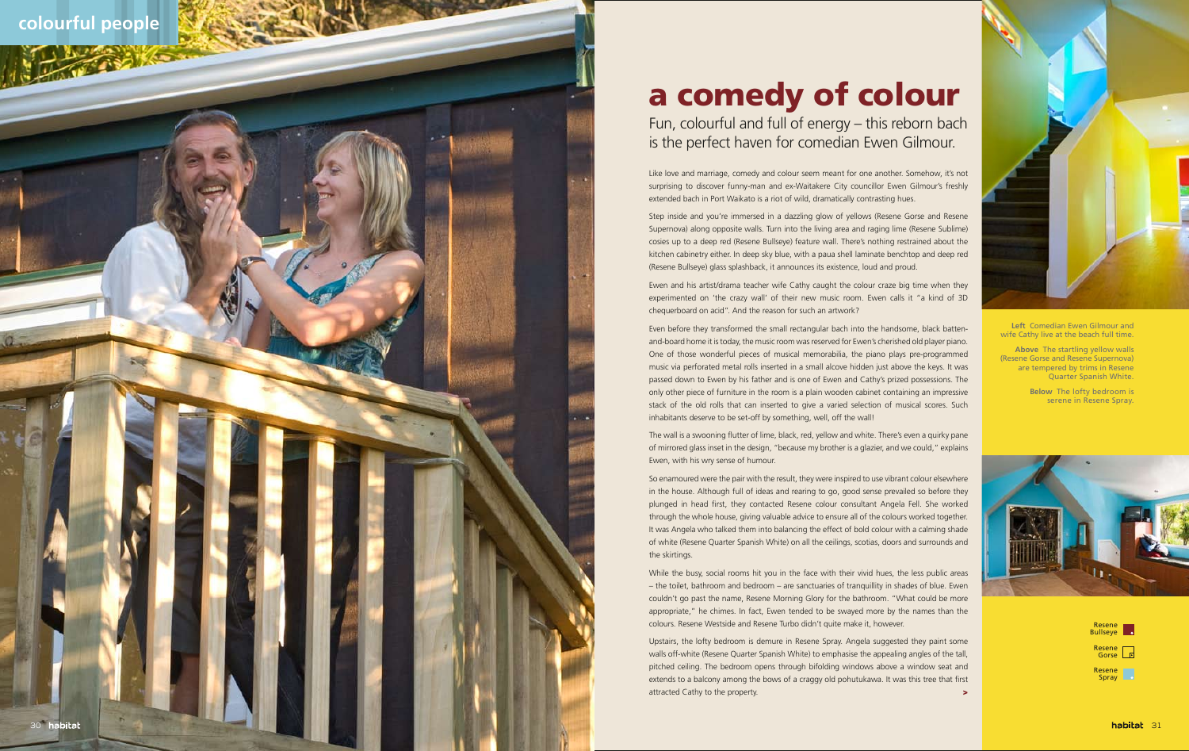## **colourful people**